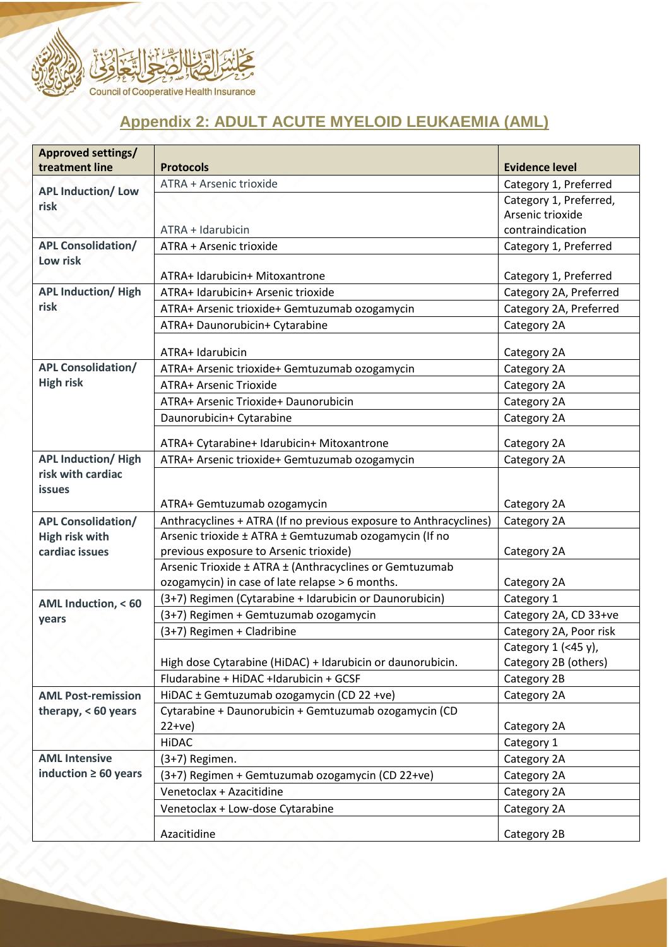

## **Appendix 2: ADULT ACUTE MYELOID LEUKAEMIA (AML)**

| <b>Approved settings/</b><br>treatment line | <b>Protocols</b>                                                  | <b>Evidence level</b>  |
|---------------------------------------------|-------------------------------------------------------------------|------------------------|
| <b>APL Induction/Low</b>                    | ATRA + Arsenic trioxide                                           | Category 1, Preferred  |
|                                             |                                                                   | Category 1, Preferred, |
| risk                                        |                                                                   | Arsenic trioxide       |
|                                             | ATRA + Idarubicin                                                 | contraindication       |
| <b>APL Consolidation/</b>                   | ATRA + Arsenic trioxide                                           | Category 1, Preferred  |
| Low risk                                    |                                                                   |                        |
|                                             | ATRA+ Idarubicin+ Mitoxantrone                                    | Category 1, Preferred  |
| <b>APL Induction/ High</b>                  | ATRA+ Idarubicin+ Arsenic trioxide                                | Category 2A, Preferred |
| risk                                        | ATRA+ Arsenic trioxide+ Gemtuzumab ozogamycin                     | Category 2A, Preferred |
|                                             | ATRA+ Daunorubicin+ Cytarabine                                    | Category 2A            |
|                                             |                                                                   |                        |
|                                             | ATRA+ Idarubicin                                                  | Category 2A            |
| <b>APL Consolidation/</b>                   | ATRA+ Arsenic trioxide+ Gemtuzumab ozogamycin                     | Category 2A            |
| <b>High risk</b>                            | ATRA+ Arsenic Trioxide                                            | Category 2A            |
|                                             | ATRA+ Arsenic Trioxide+ Daunorubicin                              | Category 2A            |
|                                             | Daunorubicin+ Cytarabine                                          | Category 2A            |
|                                             | ATRA+ Cytarabine+ Idarubicin+ Mitoxantrone                        | Category 2A            |
| <b>APL Induction/ High</b>                  | ATRA+ Arsenic trioxide+ Gemtuzumab ozogamycin                     | Category 2A            |
| risk with cardiac                           |                                                                   |                        |
| <b>issues</b>                               |                                                                   |                        |
|                                             | ATRA+ Gemtuzumab ozogamycin                                       | Category 2A            |
| <b>APL Consolidation/</b>                   | Anthracyclines + ATRA (If no previous exposure to Anthracyclines) | Category 2A            |
| <b>High risk with</b>                       | Arsenic trioxide ± ATRA ± Gemtuzumab ozogamycin (If no            |                        |
| cardiac issues                              | previous exposure to Arsenic trioxide)                            | Category 2A            |
|                                             | Arsenic Trioxide ± ATRA ± (Anthracyclines or Gemtuzumab           |                        |
|                                             | ozogamycin) in case of late relapse > 6 months.                   | Category 2A            |
| AML Induction, < 60                         | (3+7) Regimen (Cytarabine + Idarubicin or Daunorubicin)           | Category 1             |
| years                                       | (3+7) Regimen + Gemtuzumab ozogamycin                             | Category 2A, CD 33+ve  |
|                                             | (3+7) Regimen + Cladribine                                        | Category 2A, Poor risk |
|                                             |                                                                   | Category 1 (<45 y),    |
|                                             | High dose Cytarabine (HiDAC) + Idarubicin or daunorubicin.        | Category 2B (others)   |
|                                             | Fludarabine + HiDAC +Idarubicin + GCSF                            | Category 2B            |
| <b>AML Post-remission</b>                   | HiDAC ± Gemtuzumab ozogamycin (CD 22 +ve)                         | Category 2A            |
| therapy, $< 60$ years                       | Cytarabine + Daunorubicin + Gemtuzumab ozogamycin (CD             |                        |
|                                             | $22+ve)$                                                          | Category 2A            |
|                                             | <b>HiDAC</b>                                                      | Category 1             |
| <b>AML Intensive</b>                        | (3+7) Regimen.                                                    | Category 2A            |
| induction $\geq 60$ years                   | (3+7) Regimen + Gemtuzumab ozogamycin (CD 22+ve)                  | Category 2A            |
|                                             | Venetoclax + Azacitidine                                          | Category 2A            |
|                                             | Venetoclax + Low-dose Cytarabine                                  | Category 2A            |
|                                             | Azacitidine                                                       | Category 2B            |